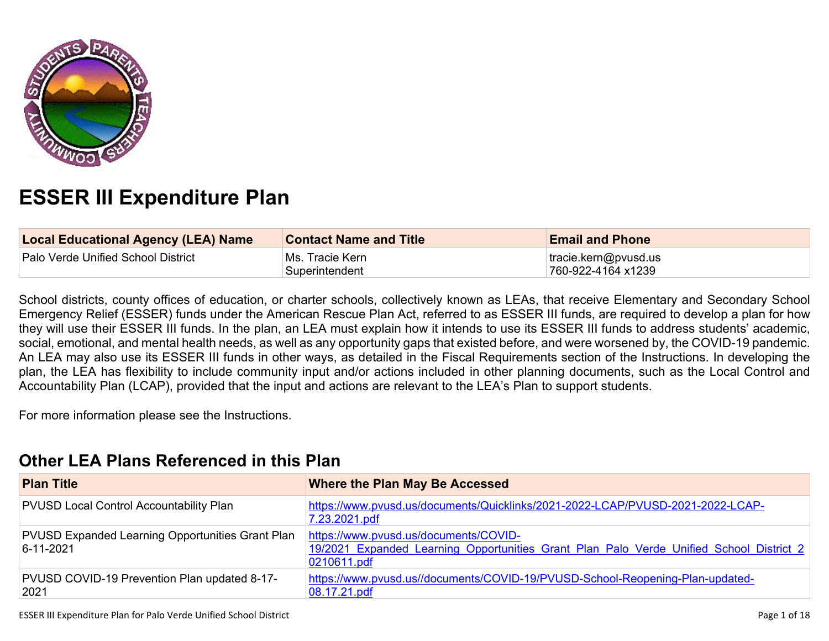

# **ESSER III Expenditure Plan**

| <b>Local Educational Agency (LEA) Name</b> | <b>Contact Name and Title</b> | <b>Email and Phone</b> |
|--------------------------------------------|-------------------------------|------------------------|
| Palo Verde Unified School District         | ∣Ms. Tracie Kern              | tracie.kern@pvusd.us   |
|                                            | Superintendent                | 760-922-4164 x1239     |

School districts, county offices of education, or charter schools, collectively known as LEAs, that receive Elementary and Secondary School Emergency Relief (ESSER) funds under the American Rescue Plan Act, referred to as ESSER III funds, are required to develop a plan for how they will use their ESSER III funds. In the plan, an LEA must explain how it intends to use its ESSER III funds to address students' academic, social, emotional, and mental health needs, as well as any opportunity gaps that existed before, and were worsened by, the COVID-19 pandemic. An LEA may also use its ESSER III funds in other ways, as detailed in the Fiscal Requirements section of the Instructions. In developing the plan, the LEA has flexibility to include community input and/or actions included in other planning documents, such as the Local Control and Accountability Plan (LCAP), provided that the input and actions are relevant to the LEA's Plan to support students.

For more information please see the Instructions.

# **Other LEA Plans [Referenced](#page-12-0) in this Plan**

| <b>Plan Title</b>                                                          | <b>Where the Plan May Be Accessed</b>                                                                                                           |
|----------------------------------------------------------------------------|-------------------------------------------------------------------------------------------------------------------------------------------------|
| <b>PVUSD Local Control Accountability Plan</b>                             | https://www.pvusd.us/documents/Quicklinks/2021-2022-LCAP/PVUSD-2021-2022-LCAP-<br>7.23.2021.pdf                                                 |
| <b>PVUSD Expanded Learning Opportunities Grant Plan</b><br>$6 - 11 - 2021$ | https://www.pvusd.us/documents/COVID-<br>19/2021 Expanded Learning Opportunities Grant Plan Palo Verde Unified School District 2<br>0210611.pdf |
| PVUSD COVID-19 Prevention Plan updated 8-17-<br>2021                       | https://www.pvusd.us//documents/COVID-19/PVUSD-School-Reopening-Plan-updated-<br>08.17.21.pdf                                                   |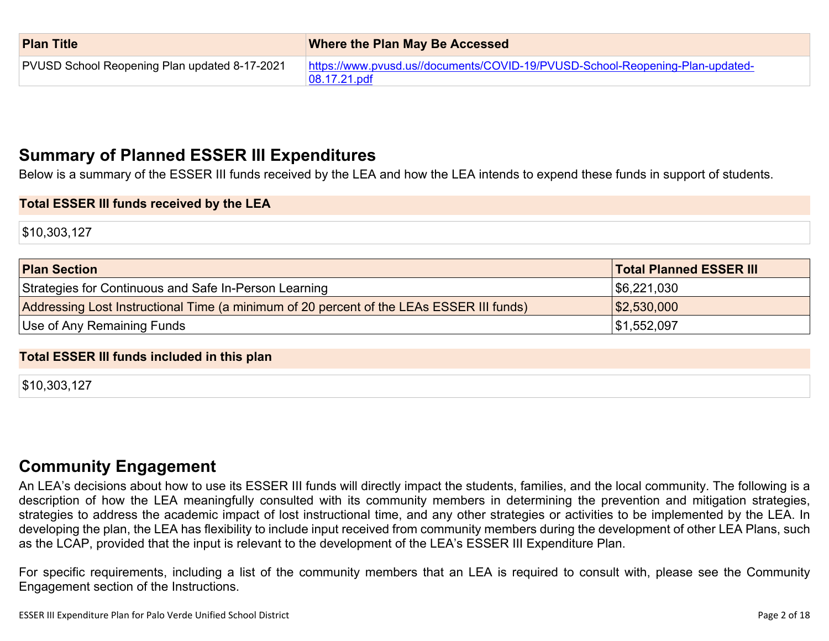| <b>Plan Title</b>                             | <b>Where the Plan May Be Accessed</b>                                                         |
|-----------------------------------------------|-----------------------------------------------------------------------------------------------|
| PVUSD School Reopening Plan updated 8-17-2021 | https://www.pvusd.us//documents/COVID-19/PVUSD-School-Reopening-Plan-updated-<br>08.17.21.pdf |

# **Summary of Planned ESSER III [Expenditures](#page-12-1)**

Below is a summary of the ESSER III funds received by the LEA and how the LEA intends to expend these funds in support of students.

#### **Total ESSER III funds received by the LEA**

\$10,303,127

| <b>Plan Section</b>                                                                      | <b>Total Planned ESSER III</b> |
|------------------------------------------------------------------------------------------|--------------------------------|
| Strategies for Continuous and Safe In-Person Learning                                    | 1\$6,221,030                   |
| Addressing Lost Instructional Time (a minimum of 20 percent of the LEAs ESSER III funds) | \$2,530,000                    |
| Use of Any Remaining Funds                                                               | 1\$1,552,097                   |

#### **Total ESSER III funds included in this plan**

\$10,303,127

# **Community [Engagement](#page-13-0)**

An LEA's decisions about how to use its ESSER III funds will directly impact the students, families, and the local community. The following is a description of how the LEA meaningfully consulted with its community members in determining the prevention and mitigation strategies, strategies to address the academic impact of lost instructional time, and any other strategies or activities to be implemented by the LEA. In developing the plan, the LEA has flexibility to include input received from community members during the development of other LEA Plans, such as the LCAP, provided that the input is relevant to the development of the LEA's ESSER III Expenditure Plan.

For specific requirements, including a list of the community members that an LEA is required to consult with, please see the Community Engagement section of the Instructions.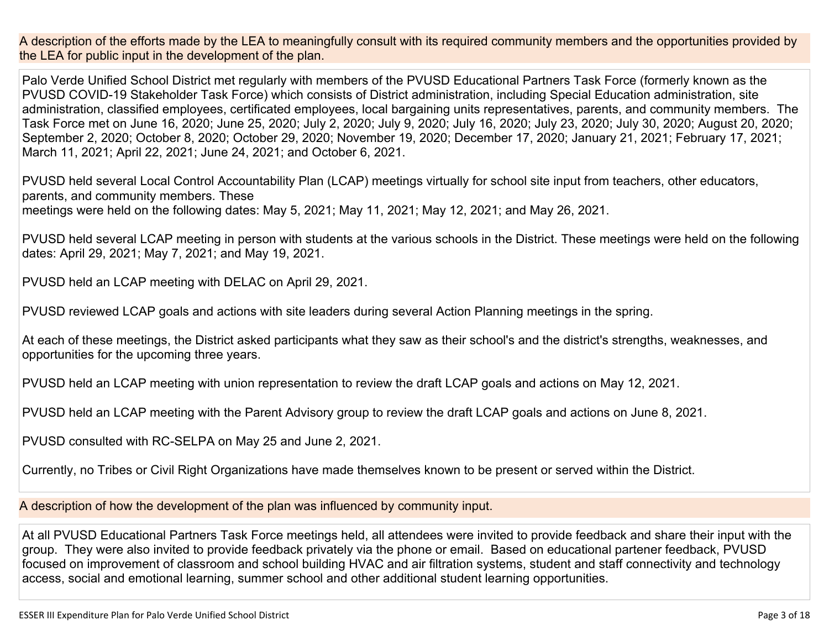A description of the efforts made by the LEA to meaningfully consult with its required community members and the opportunities provided by the LEA for public input in the development of the plan.

Palo Verde Unified School District met regularly with members of the PVUSD Educational Partners Task Force (formerly known as the PVUSD COVID-19 Stakeholder Task Force) which consists of District administration, including Special Education administration, site administration, classified employees, certificated employees, local bargaining units representatives, parents, and community members. The Task Force met on June 16, 2020; June 25, 2020; July 2, 2020; July 9, 2020; July 16, 2020; July 23, 2020; July 30, 2020; August 20, 2020; September 2, 2020; October 8, 2020; October 29, 2020; November 19, 2020; December 17, 2020; January 21, 2021; February 17, 2021; March 11, 2021; April 22, 2021; June 24, 2021; and October 6, 2021.

PVUSD held several Local Control Accountability Plan (LCAP) meetings virtually for school site input from teachers, other educators, parents, and community members. These meetings were held on the following dates: May 5, 2021; May 11, 2021; May 12, 2021; and May 26, 2021.

PVUSD held several LCAP meeting in person with students at the various schools in the District. These meetings were held on the following dates: April 29, 2021; May 7, 2021; and May 19, 2021.

PVUSD held an LCAP meeting with DELAC on April 29, 2021.

PVUSD reviewed LCAP goals and actions with site leaders during several Action Planning meetings in the spring.

At each of these meetings, the District asked participants what they saw as their school's and the district's strengths, weaknesses, and opportunities for the upcoming three years.

PVUSD held an LCAP meeting with union representation to review the draft LCAP goals and actions on May 12, 2021.

PVUSD held an LCAP meeting with the Parent Advisory group to review the draft LCAP goals and actions on June 8, 2021.

PVUSD consulted with RC-SELPA on May 25 and June 2, 2021.

Currently, no Tribes or Civil Right Organizations have made themselves known to be present or served within the District.

A description of how the development of the plan was influenced by community input.

At all PVUSD Educational Partners Task Force meetings held, all attendees were invited to provide feedback and share their input with the group. They were also invited to provide feedback privately via the phone or email. Based on educational partener feedback, PVUSD focused on improvement of classroom and school building HVAC and air filtration systems, student and staff connectivity and technology access, social and emotional learning, summer school and other additional student learning opportunities.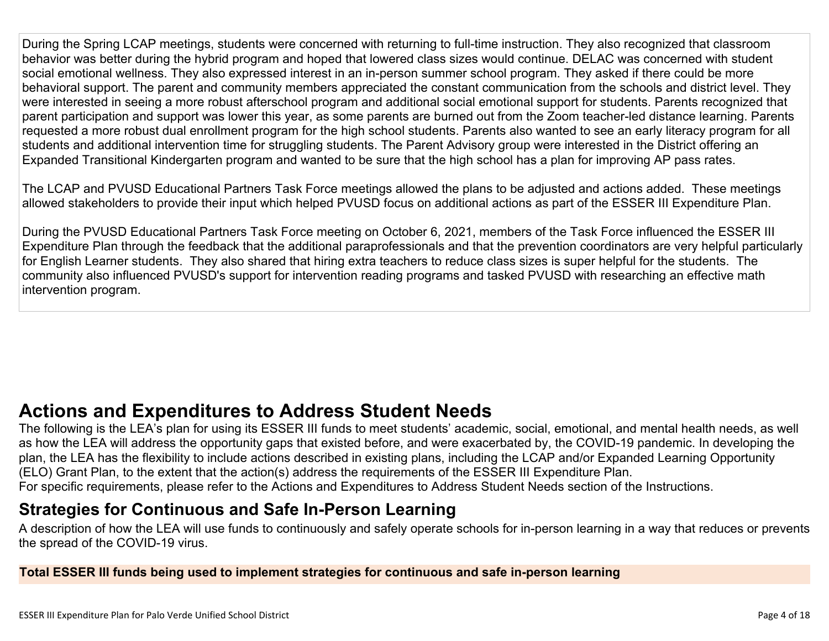During the Spring LCAP meetings, students were concerned with returning to full-time instruction. They also recognized that classroom behavior was better during the hybrid program and hoped that lowered class sizes would continue. DELAC was concerned with student social emotional wellness. They also expressed interest in an in-person summer school program. They asked if there could be more behavioral support. The parent and community members appreciated the constant communication from the schools and district level. They were interested in seeing a more robust afterschool program and additional social emotional support for students. Parents recognized that parent participation and support was lower this year, as some parents are burned out from the Zoom teacher-led distance learning. Parents requested a more robust dual enrollment program for the high school students. Parents also wanted to see an early literacy program for all students and additional intervention time for struggling students. The Parent Advisory group were interested in the District offering an Expanded Transitional Kindergarten program and wanted to be sure that the high school has a plan for improving AP pass rates.

The LCAP and PVUSD Educational Partners Task Force meetings allowed the plans to be adjusted and actions added. These meetings allowed stakeholders to provide their input which helped PVUSD focus on additional actions as part of the ESSER III Expenditure Plan.

During the PVUSD Educational Partners Task Force meeting on October 6, 2021, members of the Task Force influenced the ESSER III Expenditure Plan through the feedback that the additional paraprofessionals and that the prevention coordinators are very helpful particularly for English Learner students. They also shared that hiring extra teachers to reduce class sizes is super helpful for the students. The community also influenced PVUSD's support for intervention reading programs and tasked PVUSD with researching an effective math intervention program.

# **Actions and [Expenditures](#page-15-0) to Address Student Needs**

The following is the LEA's plan for using its ESSER III funds to meet students' academic, social, emotional, and mental health needs, as well as how the LEA will address the opportunity gaps that existed before, and were exacerbated by, the COVID-19 pandemic. In developing the plan, the LEA has the flexibility to include actions described in existing plans, including the LCAP and/or Expanded Learning Opportunity (ELO) Grant Plan, to the extent that the action(s) address the requirements of the ESSER III Expenditure Plan. For specific requirements, please refer to the Actions and Expenditures to Address Student Needs section of the Instructions.

# **Strategies for [Continuous](#page-15-1) and Safe In-Person Learning**

A description of how the LEA will use funds to continuously and safely operate schools for in-person learning in a way that reduces or prevents the spread of the COVID-19 virus.

**Total ESSER III funds being used to implement strategies for continuous and safe in-person learning**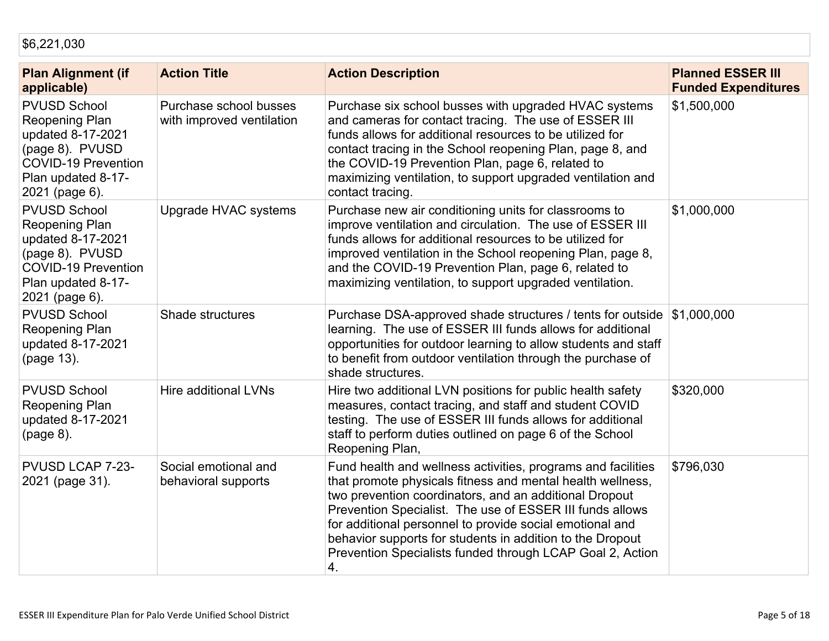| <b>Plan Alignment (if</b><br>applicable)                                                                                                            | <b>Action Title</b>                                 | <b>Action Description</b>                                                                                                                                                                                                                                                                                                                                                                                                                    | <b>Planned ESSER III</b><br><b>Funded Expenditures</b> |
|-----------------------------------------------------------------------------------------------------------------------------------------------------|-----------------------------------------------------|----------------------------------------------------------------------------------------------------------------------------------------------------------------------------------------------------------------------------------------------------------------------------------------------------------------------------------------------------------------------------------------------------------------------------------------------|--------------------------------------------------------|
| <b>PVUSD School</b><br>Reopening Plan<br>updated 8-17-2021<br>(page 8). PVUSD<br><b>COVID-19 Prevention</b><br>Plan updated 8-17-<br>2021 (page 6). | Purchase school busses<br>with improved ventilation | Purchase six school busses with upgraded HVAC systems<br>and cameras for contact tracing. The use of ESSER III<br>funds allows for additional resources to be utilized for<br>contact tracing in the School reopening Plan, page 8, and<br>the COVID-19 Prevention Plan, page 6, related to<br>maximizing ventilation, to support upgraded ventilation and<br>contact tracing.                                                               | \$1,500,000                                            |
| <b>PVUSD School</b><br>Reopening Plan<br>updated 8-17-2021<br>(page 8). PVUSD<br><b>COVID-19 Prevention</b><br>Plan updated 8-17-<br>2021 (page 6). | Upgrade HVAC systems                                | Purchase new air conditioning units for classrooms to<br>improve ventilation and circulation. The use of ESSER III<br>funds allows for additional resources to be utilized for<br>improved ventilation in the School reopening Plan, page 8,<br>and the COVID-19 Prevention Plan, page 6, related to<br>maximizing ventilation, to support upgraded ventilation.                                                                             | \$1,000,000                                            |
| <b>PVUSD School</b><br>Reopening Plan<br>updated 8-17-2021<br>(page 13).                                                                            | Shade structures                                    | Purchase DSA-approved shade structures / tents for outside<br>learning. The use of ESSER III funds allows for additional<br>opportunities for outdoor learning to allow students and staff<br>to benefit from outdoor ventilation through the purchase of<br>shade structures.                                                                                                                                                               | \$1,000,000                                            |
| <b>PVUSD School</b><br>Reopening Plan<br>updated 8-17-2021<br>(page 8).                                                                             | <b>Hire additional LVNs</b>                         | Hire two additional LVN positions for public health safety<br>measures, contact tracing, and staff and student COVID<br>testing. The use of ESSER III funds allows for additional<br>staff to perform duties outlined on page 6 of the School<br>Reopening Plan,                                                                                                                                                                             | \$320,000                                              |
| <b>PVUSD LCAP 7-23-</b><br>2021 (page 31).                                                                                                          | Social emotional and<br>behavioral supports         | Fund health and wellness activities, programs and facilities<br>that promote physicals fitness and mental health wellness,<br>two prevention coordinators, and an additional Dropout<br>Prevention Specialist. The use of ESSER III funds allows<br>for additional personnel to provide social emotional and<br>behavior supports for students in addition to the Dropout<br>Prevention Specialists funded through LCAP Goal 2, Action<br>4. | \$796,030                                              |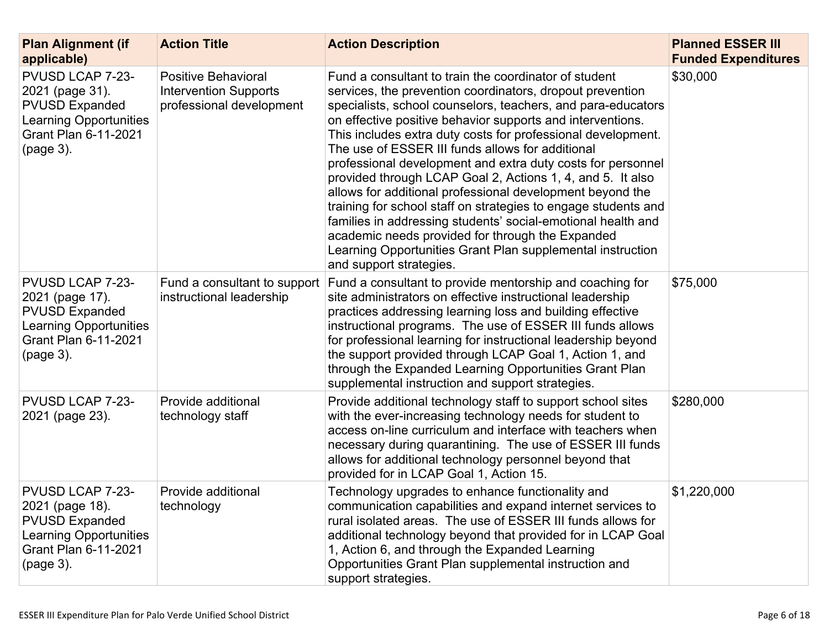| <b>Plan Alignment (if</b><br>applicable)                                                                                           | <b>Action Title</b>                                                                    | <b>Action Description</b>                                                                                                                                                                                                                                                                                                                                                                                                                                                                                                                                                                                                                                                                                                                                                                                                                     | <b>Planned ESSER III</b><br><b>Funded Expenditures</b> |
|------------------------------------------------------------------------------------------------------------------------------------|----------------------------------------------------------------------------------------|-----------------------------------------------------------------------------------------------------------------------------------------------------------------------------------------------------------------------------------------------------------------------------------------------------------------------------------------------------------------------------------------------------------------------------------------------------------------------------------------------------------------------------------------------------------------------------------------------------------------------------------------------------------------------------------------------------------------------------------------------------------------------------------------------------------------------------------------------|--------------------------------------------------------|
| PVUSD LCAP 7-23-<br>2021 (page 31).<br><b>PVUSD Expanded</b><br><b>Learning Opportunities</b><br>Grant Plan 6-11-2021<br>(page 3). | <b>Positive Behavioral</b><br><b>Intervention Supports</b><br>professional development | Fund a consultant to train the coordinator of student<br>services, the prevention coordinators, dropout prevention<br>specialists, school counselors, teachers, and para-educators<br>on effective positive behavior supports and interventions.<br>This includes extra duty costs for professional development.<br>The use of ESSER III funds allows for additional<br>professional development and extra duty costs for personnel<br>provided through LCAP Goal 2, Actions 1, 4, and 5. It also<br>allows for additional professional development beyond the<br>training for school staff on strategies to engage students and<br>families in addressing students' social-emotional health and<br>academic needs provided for through the Expanded<br>Learning Opportunities Grant Plan supplemental instruction<br>and support strategies. | \$30,000                                               |
| PVUSD LCAP 7-23-<br>2021 (page 17).<br><b>PVUSD Expanded</b><br><b>Learning Opportunities</b><br>Grant Plan 6-11-2021<br>(page 3). | Fund a consultant to support<br>instructional leadership                               | Fund a consultant to provide mentorship and coaching for<br>site administrators on effective instructional leadership<br>practices addressing learning loss and building effective<br>instructional programs. The use of ESSER III funds allows<br>for professional learning for instructional leadership beyond<br>the support provided through LCAP Goal 1, Action 1, and<br>through the Expanded Learning Opportunities Grant Plan<br>supplemental instruction and support strategies.                                                                                                                                                                                                                                                                                                                                                     | \$75,000                                               |
| PVUSD LCAP 7-23-<br>2021 (page 23).                                                                                                | Provide additional<br>technology staff                                                 | Provide additional technology staff to support school sites<br>with the ever-increasing technology needs for student to<br>access on-line curriculum and interface with teachers when<br>necessary during quarantining. The use of ESSER III funds<br>allows for additional technology personnel beyond that<br>provided for in LCAP Goal 1, Action 15.                                                                                                                                                                                                                                                                                                                                                                                                                                                                                       | \$280,000                                              |
| PVUSD LCAP 7-23-<br>2021 (page 18).<br><b>PVUSD Expanded</b><br>Learning Opportunities<br>Grant Plan 6-11-2021<br>(page 3).        | Provide additional<br>technology                                                       | Technology upgrades to enhance functionality and<br>communication capabilities and expand internet services to<br>rural isolated areas. The use of ESSER III funds allows for<br>additional technology beyond that provided for in LCAP Goal<br>1, Action 6, and through the Expanded Learning<br>Opportunities Grant Plan supplemental instruction and<br>support strategies.                                                                                                                                                                                                                                                                                                                                                                                                                                                                | \$1,220,000                                            |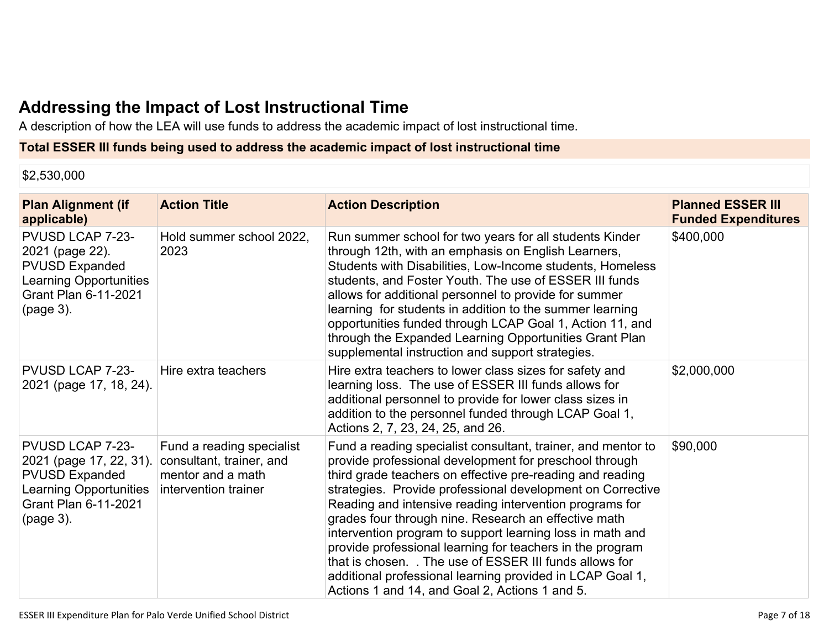# **Addressing the Impact of Lost [Instructional](#page-16-0) Tim[e](#page-16-0)**

A description of how the LEA will use funds to address the academic impact of lost instructional time.

## **Total ESSER III funds being used to address the academic impact of lost instructional time**

\$2,530,000

| <b>Plan Alignment (if</b><br>applicable)                                                                                                   | <b>Action Title</b>                                                                                | <b>Action Description</b>                                                                                                                                                                                                                                                                                                                                                                                                                                                                                                                                                                                                                                                | <b>Planned ESSER III</b><br><b>Funded Expenditures</b> |
|--------------------------------------------------------------------------------------------------------------------------------------------|----------------------------------------------------------------------------------------------------|--------------------------------------------------------------------------------------------------------------------------------------------------------------------------------------------------------------------------------------------------------------------------------------------------------------------------------------------------------------------------------------------------------------------------------------------------------------------------------------------------------------------------------------------------------------------------------------------------------------------------------------------------------------------------|--------------------------------------------------------|
| PVUSD LCAP 7-23-<br>2021 (page 22).<br><b>PVUSD Expanded</b><br>Learning Opportunities<br>Grant Plan 6-11-2021<br>(page 3).                | Hold summer school 2022,<br>2023                                                                   | Run summer school for two years for all students Kinder<br>through 12th, with an emphasis on English Learners,<br>Students with Disabilities, Low-Income students, Homeless<br>students, and Foster Youth. The use of ESSER III funds<br>allows for additional personnel to provide for summer<br>learning for students in addition to the summer learning<br>opportunities funded through LCAP Goal 1, Action 11, and<br>through the Expanded Learning Opportunities Grant Plan<br>supplemental instruction and support strategies.                                                                                                                                     | \$400,000                                              |
| <b>PVUSD LCAP 7-23-</b><br>2021 (page 17, 18, 24).                                                                                         | Hire extra teachers                                                                                | Hire extra teachers to lower class sizes for safety and<br>learning loss. The use of ESSER III funds allows for<br>additional personnel to provide for lower class sizes in<br>addition to the personnel funded through LCAP Goal 1,<br>Actions 2, 7, 23, 24, 25, and 26.                                                                                                                                                                                                                                                                                                                                                                                                | \$2,000,000                                            |
| <b>PVUSD LCAP 7-23-</b><br>2021 (page 17, 22, 31).<br><b>PVUSD Expanded</b><br>Learning Opportunities<br>Grant Plan 6-11-2021<br>(page 3). | Fund a reading specialist<br>consultant, trainer, and<br>mentor and a math<br>intervention trainer | Fund a reading specialist consultant, trainer, and mentor to<br>provide professional development for preschool through<br>third grade teachers on effective pre-reading and reading<br>strategies. Provide professional development on Corrective<br>Reading and intensive reading intervention programs for<br>grades four through nine. Research an effective math<br>intervention program to support learning loss in math and<br>provide professional learning for teachers in the program<br>that is chosen. . The use of ESSER III funds allows for<br>additional professional learning provided in LCAP Goal 1,<br>Actions 1 and 14, and Goal 2, Actions 1 and 5. | \$90,000                                               |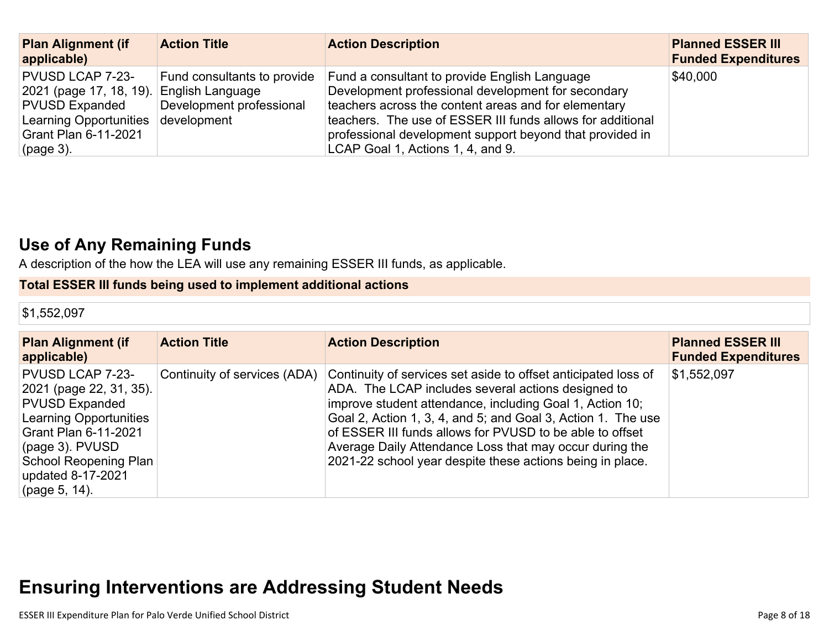| <b>Plan Alignment (if</b><br>applicable)                                                                                                                                | <b>Action Title</b>                                     | <b>Action Description</b>                                                                                                                                                                                                                                                                                                  | <b>Planned ESSER III</b><br><b>Funded Expenditures</b> |
|-------------------------------------------------------------------------------------------------------------------------------------------------------------------------|---------------------------------------------------------|----------------------------------------------------------------------------------------------------------------------------------------------------------------------------------------------------------------------------------------------------------------------------------------------------------------------------|--------------------------------------------------------|
| <b>PVUSD LCAP 7-23-</b><br>2021 (page 17, 18, 19). English Language<br><b>PVUSD Expanded</b><br>Learning Opportunities development<br>Grant Plan 6-11-2021<br>(page 3). | Fund consultants to provide<br>Development professional | Fund a consultant to provide English Language<br>Development professional development for secondary<br>teachers across the content areas and for elementary<br>teachers. The use of ESSER III funds allows for additional<br>professional development support beyond that provided in<br>LCAP Goal 1, Actions 1, 4, and 9. | \$40,000                                               |

# **Use of Any [Remaining](#page-16-1) Fund[s](#page-16-1)**

A description of the how the LEA will use any remaining ESSER III funds, as applicable.

## **Total ESSER III funds being used to implement additional actions**

\$1,552,097

| <b>Plan Alignment (if</b><br>applicable)                                                                                                                                                                    | <b>Action Title</b>          | <b>Action Description</b>                                                                                                                                                                                                                                                                                                                                                                                                            | <b>Planned ESSER III</b><br><b>Funded Expenditures</b> |
|-------------------------------------------------------------------------------------------------------------------------------------------------------------------------------------------------------------|------------------------------|--------------------------------------------------------------------------------------------------------------------------------------------------------------------------------------------------------------------------------------------------------------------------------------------------------------------------------------------------------------------------------------------------------------------------------------|--------------------------------------------------------|
| PVUSD LCAP 7-23-<br>2021 (page 22, 31, 35).<br><b>PVUSD Expanded</b><br>Learning Opportunities<br>Grant Plan 6-11-2021<br>$(page 3)$ . PVUSD<br>School Reopening Plan<br>updated 8-17-2021<br>(page 5, 14). | Continuity of services (ADA) | Continuity of services set aside to offset anticipated loss of<br>ADA. The LCAP includes several actions designed to<br>improve student attendance, including Goal 1, Action 10;<br>Goal 2, Action 1, 3, 4, and 5; and Goal 3, Action 1. The use<br>of ESSER III funds allows for PVUSD to be able to offset<br>Average Daily Attendance Loss that may occur during the<br>2021-22 school year despite these actions being in place. | \$1,552,097                                            |

# **Ensuring [Interventions](#page-16-2) are Addressing Student Need[s](#page-16-2)**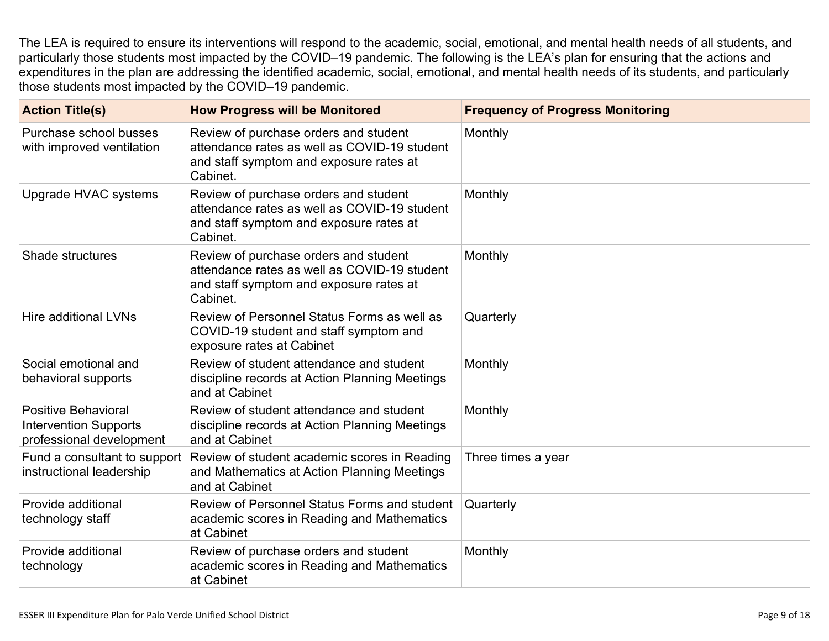The LEA is required to ensure its interventions will respond to the academic, social, emotional, and mental health needs of all students, and particularly those students most impacted by the COVID–19 pandemic. The following is the LEA's plan for ensuring that the actions and expenditures in the plan are addressing the identified academic, social, emotional, and mental health needs of its students, and particularly those students most impacted by the COVID–19 pandemic.

| <b>Action Title(s)</b>                                                                 | <b>How Progress will be Monitored</b>                                                                                                        | <b>Frequency of Progress Monitoring</b> |
|----------------------------------------------------------------------------------------|----------------------------------------------------------------------------------------------------------------------------------------------|-----------------------------------------|
| Purchase school busses<br>with improved ventilation                                    | Review of purchase orders and student<br>attendance rates as well as COVID-19 student<br>and staff symptom and exposure rates at<br>Cabinet. | Monthly                                 |
| Upgrade HVAC systems                                                                   | Review of purchase orders and student<br>attendance rates as well as COVID-19 student<br>and staff symptom and exposure rates at<br>Cabinet. | Monthly                                 |
| Shade structures                                                                       | Review of purchase orders and student<br>attendance rates as well as COVID-19 student<br>and staff symptom and exposure rates at<br>Cabinet. | Monthly                                 |
| <b>Hire additional LVNs</b>                                                            | Review of Personnel Status Forms as well as<br>COVID-19 student and staff symptom and<br>exposure rates at Cabinet                           | Quarterly                               |
| Social emotional and<br>behavioral supports                                            | Review of student attendance and student<br>discipline records at Action Planning Meetings<br>and at Cabinet                                 | Monthly                                 |
| <b>Positive Behavioral</b><br><b>Intervention Supports</b><br>professional development | Review of student attendance and student<br>discipline records at Action Planning Meetings<br>and at Cabinet                                 | Monthly                                 |
| Fund a consultant to support<br>instructional leadership                               | Review of student academic scores in Reading<br>and Mathematics at Action Planning Meetings<br>and at Cabinet                                | Three times a year                      |
| Provide additional<br>technology staff                                                 | Review of Personnel Status Forms and student<br>academic scores in Reading and Mathematics<br>at Cabinet                                     | Quarterly                               |
| Provide additional<br>technology                                                       | Review of purchase orders and student<br>academic scores in Reading and Mathematics<br>at Cabinet                                            | Monthly                                 |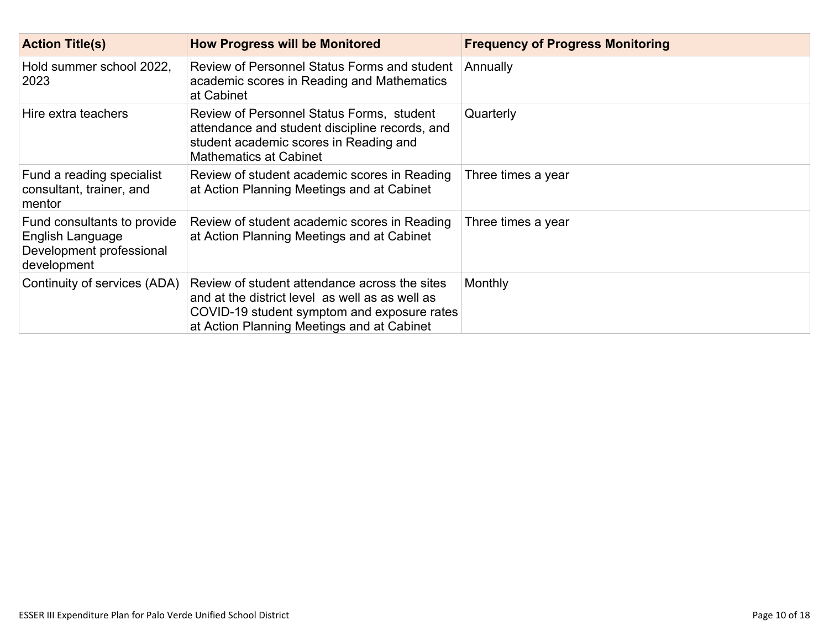| <b>Action Title(s)</b>                                                                     | <b>How Progress will be Monitored</b>                                                                                                                                                         | <b>Frequency of Progress Monitoring</b> |
|--------------------------------------------------------------------------------------------|-----------------------------------------------------------------------------------------------------------------------------------------------------------------------------------------------|-----------------------------------------|
| Hold summer school 2022,<br>2023                                                           | Review of Personnel Status Forms and student<br>academic scores in Reading and Mathematics<br>at Cabinet                                                                                      | Annually                                |
| Hire extra teachers                                                                        | Review of Personnel Status Forms, student<br>attendance and student discipline records, and<br>student academic scores in Reading and<br><b>Mathematics at Cabinet</b>                        | Quarterly                               |
| Fund a reading specialist<br>consultant, trainer, and<br>mentor                            | Review of student academic scores in Reading<br>at Action Planning Meetings and at Cabinet                                                                                                    | Three times a year                      |
| Fund consultants to provide<br>English Language<br>Development professional<br>development | Review of student academic scores in Reading<br>at Action Planning Meetings and at Cabinet                                                                                                    | Three times a year                      |
| Continuity of services (ADA)                                                               | Review of student attendance across the sites<br>and at the district level as well as as well as<br>COVID-19 student symptom and exposure rates<br>at Action Planning Meetings and at Cabinet | Monthly                                 |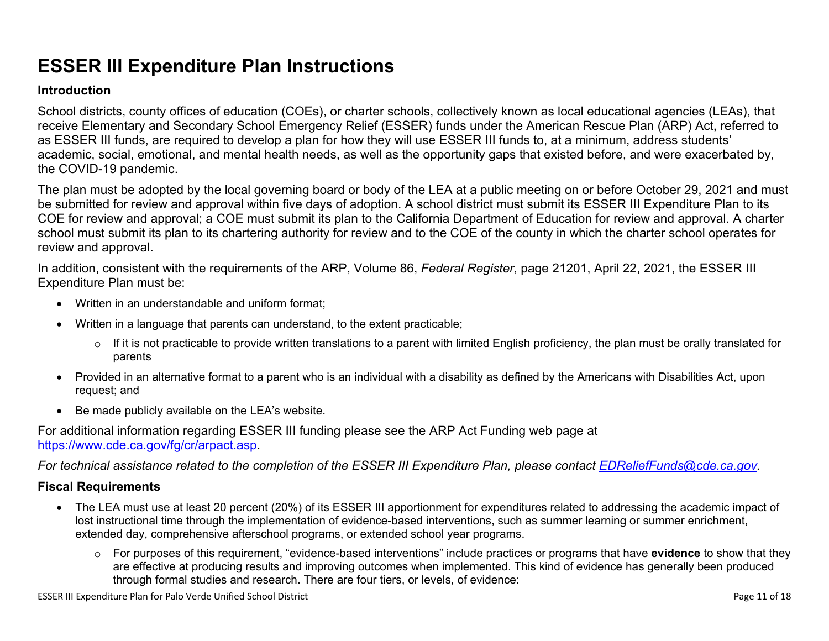# **ESSER III Expenditure Plan Instructions**

### **Introduction**

School districts, county offices of education (COEs), or charter schools, collectively known as local educational agencies (LEAs), that receive Elementary and Secondary School Emergency Relief (ESSER) funds under the American Rescue Plan (ARP) Act, referred to as ESSER III funds, are required to develop a plan for how they will use ESSER III funds to, at a minimum, address students' academic, social, emotional, and mental health needs, as well as the opportunity gaps that existed before, and were exacerbated by, the COVID-19 pandemic.

The plan must be adopted by the local governing board or body of the LEA at a public meeting on or before October 29, 2021 and must be submitted for review and approval within five days of adoption. A school district must submit its ESSER III Expenditure Plan to its COE for review and approval; a COE must submit its plan to the California Department of Education for review and approval. A charter school must submit its plan to its chartering authority for review and to the COE of the county in which the charter school operates for review and approval.

In addition, consistent with the requirements of the ARP, Volume 86, *Federal Register*, page 21201, April 22, 2021, the ESSER III Expenditure Plan must be:

- Written in an understandable and uniform format;
- Written in a language that parents can understand, to the extent practicable;
	- $\circ$  If it is not practicable to provide written translations to a parent with limited English proficiency, the plan must be orally translated for parents
- Provided in an alternative format to a parent who is an individual with a disability as defined by the Americans with Disabilities Act, upon request; and
- Be made publicly available on the LEA's website.

For additional information regarding ESSER III funding please see the ARP Act Funding web page at <https://www.cde.ca.gov/fg/cr/arpact.asp>.

For technical assistance related to the completion of the ESSER III Expenditure Plan, please contact [EDReliefFunds@cde.ca.gov](mailto:EDReliefFunds@cde.ca.gov).

### **Fiscal Requirements**

- The LEA must use at least 20 percent (20%) of its ESSER III apportionment for expenditures related to addressing the academic impact of lost instructional time through the implementation of evidence-based interventions, such as summer learning or summer enrichment, extended day, comprehensive afterschool programs, or extended school year programs.
	- o For purposes of this requirement, "evidence-based interventions" include practices or programs that have **evidence** to show that they are effective at producing results and improving outcomes when implemented. This kind of evidence has generally been produced through formal studies and research. There are four tiers, or levels, of evidence:

ESSER III Expenditure Plan for Palo Verde Unified School District **Page 11** of 18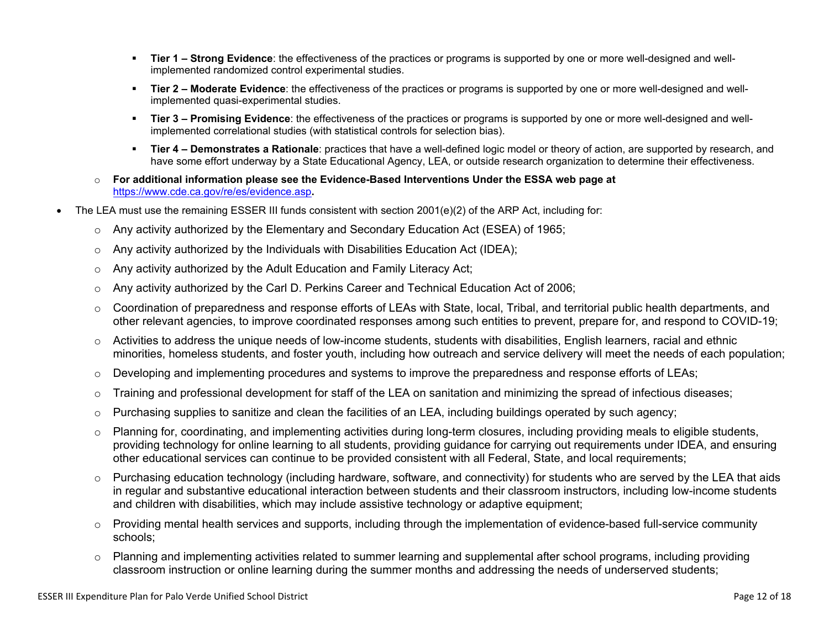- **Tier 1 – Strong Evidence**: the effectiveness of the practices or programs is supported by one or more well-designed and wellimplemented randomized control experimental studies.
- **Tier 2 – Moderate Evidence**: the effectiveness of the practices or programs is supported by one or more well-designed and wellimplemented quasi-experimental studies.
- **Tier 3 – Promising Evidence**: the effectiveness of the practices or programs is supported by one or more well-designed and wellimplemented correlational studies (with statistical controls for selection bias).
- **Tier 4 – Demonstrates a Rationale**: practices that have a well-defined logic model or theory of action, are supported by research, and have some effort underway by a State Educational Agency, LEA, or outside research organization to determine their effectiveness.
- o **For additional information please see the Evidence-Based Interventions Under the ESSA web page at** <https://www.cde.ca.gov/re/es/evidence.asp>**.**
- The LEA must use the remaining ESSER III funds consistent with section 2001(e)(2) of the ARP Act, including for:
	- $\circ$  Any activity authorized by the Elementary and Secondary Education Act (ESEA) of 1965;
	- $\circ$  Any activity authorized by the Individuals with Disabilities Education Act (IDEA);
	- o Any activity authorized by the Adult Education and Family Literacy Act;
	- $\circ$  Any activity authorized by the Carl D. Perkins Career and Technical Education Act of 2006;
	- $\circ$  Coordination of preparedness and response efforts of LEAs with State, local, Tribal, and territorial public health departments, and other relevant agencies, to improve coordinated responses among such entities to prevent, prepare for, and respond to COVID-19;
	- $\circ$  Activities to address the unique needs of low-income students, students with disabilities, English learners, racial and ethnic minorities, homeless students, and foster youth, including how outreach and service delivery will meet the needs of each population;
	- o Developing and implementing procedures and systems to improve the preparedness and response efforts of LEAs;
	- $\circ$  Training and professional development for staff of the LEA on sanitation and minimizing the spread of infectious diseases;
	- $\circ$  Purchasing supplies to sanitize and clean the facilities of an LEA, including buildings operated by such agency;
	- $\circ$  Planning for, coordinating, and implementing activities during long-term closures, including providing meals to eligible students, providing technology for online learning to all students, providing guidance for carrying out requirements under IDEA, and ensuring other educational services can continue to be provided consistent with all Federal, State, and local requirements;
	- $\circ$  Purchasing education technology (including hardware, software, and connectivity) for students who are served by the LEA that aids in regular and substantive educational interaction between students and their classroom instructors, including low-income students and children with disabilities, which may include assistive technology or adaptive equipment;
	- $\circ$  Providing mental health services and supports, including through the implementation of evidence-based full-service community schools;
	- o Planning and implementing activities related to summer learning and supplemental after school programs, including providing classroom instruction or online learning during the summer months and addressing the needs of underserved students;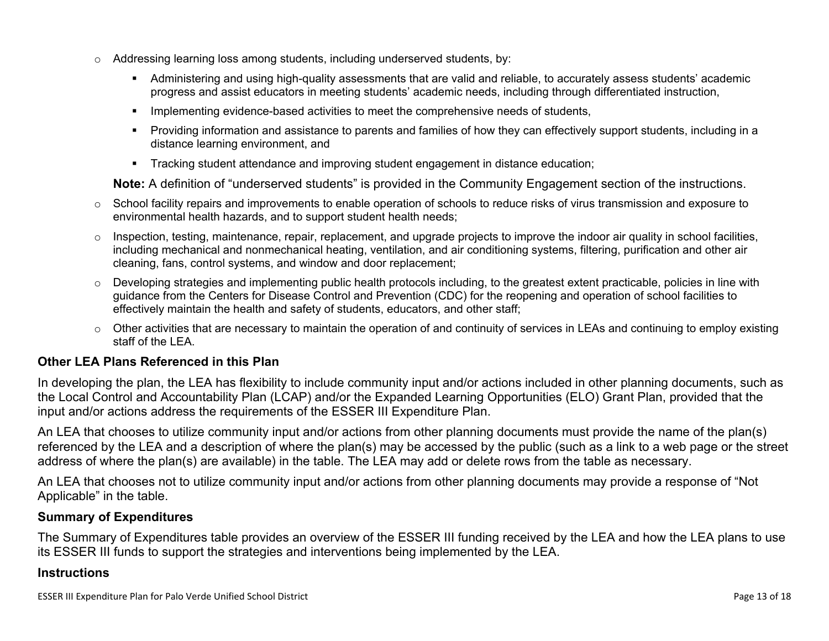- $\circ$  Addressing learning loss among students, including underserved students, by:
	- Administering and using high-quality assessments that are valid and reliable, to accurately assess students' academic progress and assist educators in meeting students' academic needs, including through differentiated instruction,
	- **IMPLEMENTER IMPLEMENT LIME STARK IMPLEMENT IMPLEMENT IMPLY** Implementing evidents,
	- Providing information and assistance to parents and families of how they can effectively support students, including in a distance learning environment, and
	- Tracking student attendance and improving student engagement in distance education;

**Note:** A definition of "underserved students" is provided in the Community Engagement section of the instructions.

- $\circ$  School facility repairs and improvements to enable operation of schools to reduce risks of virus transmission and exposure to environmental health hazards, and to support student health needs;
- $\circ$  Inspection, testing, maintenance, repair, replacement, and upgrade projects to improve the indoor air quality in school facilities, including mechanical and nonmechanical heating, ventilation, and air conditioning systems, filtering, purification and other air cleaning, fans, control systems, and window and door replacement;
- $\circ$  Developing strategies and implementing public health protocols including, to the greatest extent practicable, policies in line with guidance from the Centers for Disease Control and Prevention (CDC) for the reopening and operation of school facilities to effectively maintain the health and safety of students, educators, and other staff;
- $\circ$  Other activities that are necessary to maintain the operation of and continuity of services in LEAs and continuing to employ existing staff of the LEA.

### <span id="page-12-0"></span>**Other LEA Plans Referenced in this Plan**

In developing the plan, the LEA has flexibility to include community input and/or actions included in other planning documents, such as the Local Control and Accountability Plan (LCAP) and/or the Expanded Learning Opportunities (ELO) Grant Plan, provided that the input and/or actions address the requirements of the ESSER III Expenditure Plan.

An LEA that chooses to utilize community input and/or actions from other planning documents must provide the name of the plan(s) referenced by the LEA and a description of where the plan(s) may be accessed by the public (such as a link to a web page or the street address of where the plan(s) are available) in the table. The LEA may add or delete rows from the table as necessary.

An LEA that chooses not to utilize community input and/or actions from other planning documents may provide a response of "Not Applicable" in the table.

#### <span id="page-12-1"></span>**Summary of Expenditures**

The Summary of Expenditures table provides an overview of the ESSER III funding received by the LEA and how the LEA plans to use its ESSER III funds to support the strategies and interventions being implemented by the LEA.

#### **Instructions**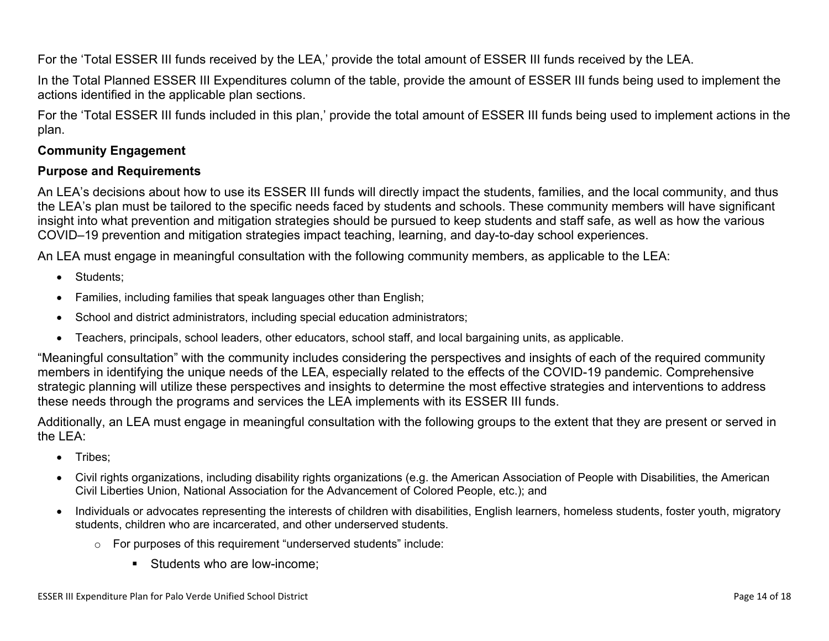For the 'Total ESSER III funds received by the LEA,' provide the total amount of ESSER III funds received by the LEA.

In the Total Planned ESSER III Expenditures column of the table, provide the amount of ESSER III funds being used to implement the actions identified in the applicable plan sections.

For the 'Total ESSER III funds included in this plan,' provide the total amount of ESSER III funds being used to implement actions in the plan.

### <span id="page-13-0"></span>**Community Engagement**

### **Purpose and Requirements**

An LEA's decisions about how to use its ESSER III funds will directly impact the students, families, and the local community, and thus the LEA's plan must be tailored to the specific needs faced by students and schools. These community members will have significant insight into what prevention and mitigation strategies should be pursued to keep students and staff safe, as well as how the various COVID–19 prevention and mitigation strategies impact teaching, learning, and day-to-day school experiences.

An LEA must engage in meaningful consultation with the following community members, as applicable to the LEA:

- Students:
- Families, including families that speak languages other than English;
- School and district administrators, including special education administrators;
- Teachers, principals, school leaders, other educators, school staff, and local bargaining units, as applicable.

"Meaningful consultation" with the community includes considering the perspectives and insights of each of the required community members in identifying the unique needs of the LEA, especially related to the effects of the COVID-19 pandemic. Comprehensive strategic planning will utilize these perspectives and insights to determine the most effective strategies and interventions to address these needs through the programs and services the LEA implements with its ESSER III funds.

Additionally, an LEA must engage in meaningful consultation with the following groups to the extent that they are present or served in the LEA:

- Tribes;
- Civil rights organizations, including disability rights organizations (e.g. the American Association of People with Disabilities, the American Civil Liberties Union, National Association for the Advancement of Colored People, etc.); and
- Individuals or advocates representing the interests of children with disabilities, English learners, homeless students, foster youth, migratory students, children who are incarcerated, and other underserved students.
	- o For purposes of this requirement "underserved students" include:
		- **Students who are low-income:**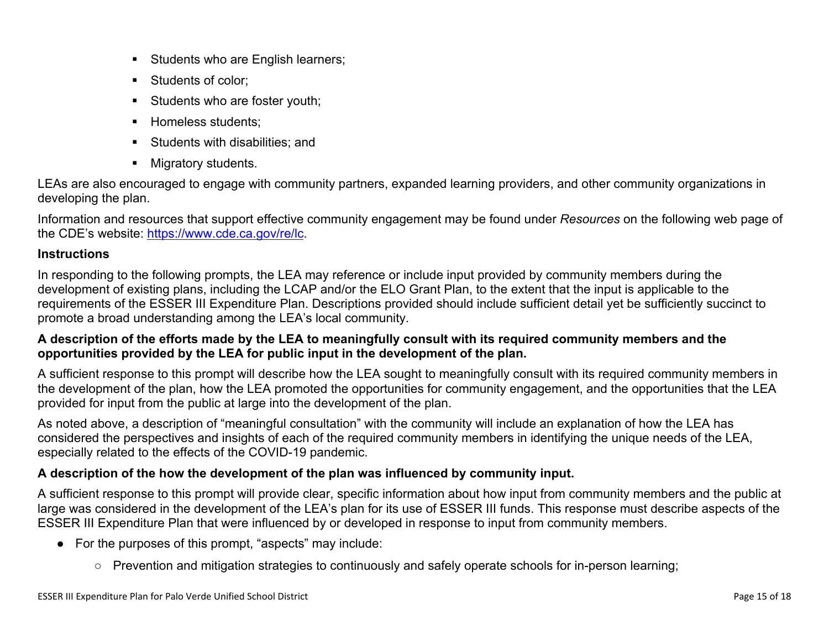- Students who are English learners;
- Students of color:
- Students who are foster youth;
- Homeless students;
- **Students with disabilities: and**
- **Migratory students.**

LEAs are also encouraged to engage with community partners, expanded learning providers, and other community organizations in developing the plan.

Information and resources that support effective community engagement may be found under *Resources* on the following web page of the CDE's website: <https://www.cde.ca.gov/re/lc>.

## **Instructions**

In responding to the following prompts, the LEA may reference or include input provided by community members during the development of existing plans, including the LCAP and/or the ELO Grant Plan, to the extent that the input is applicable to the requirements of the ESSER III Expenditure Plan. Descriptions provided should include sufficient detail yet be sufficiently succinct to promote a broad understanding among the LEA's local community.

## A description of the efforts made by the LEA to meaningfully consult with its required community members and the **opportunities provided by the LEA for public input in the development of the plan.**

A sufficient response to this prompt will describe how the LEA sought to meaningfully consult with its required community members in the development of the plan, how the LEA promoted the opportunities for community engagement, and the opportunities that the LEA provided for input from the public at large into the development of the plan.

As noted above, a description of "meaningful consultation" with the community will include an explanation of how the LEA has considered the perspectives and insights of each of the required community members in identifying the unique needs of the LEA, especially related to the effects of the COVID-19 pandemic.

# **A description of the how the development of the plan was influenced by community input.**

A sufficient response to this prompt will provide clear, specific information about how input from community members and the public at large was considered in the development of the LEA's plan for its use of ESSER III funds. This response must describe aspects of the ESSER III Expenditure Plan that were influenced by or developed in response to input from community members.

- For the purposes of this prompt, "aspects" may include:
	- Prevention and mitigation strategies to continuously and safely operate schools for in-person learning;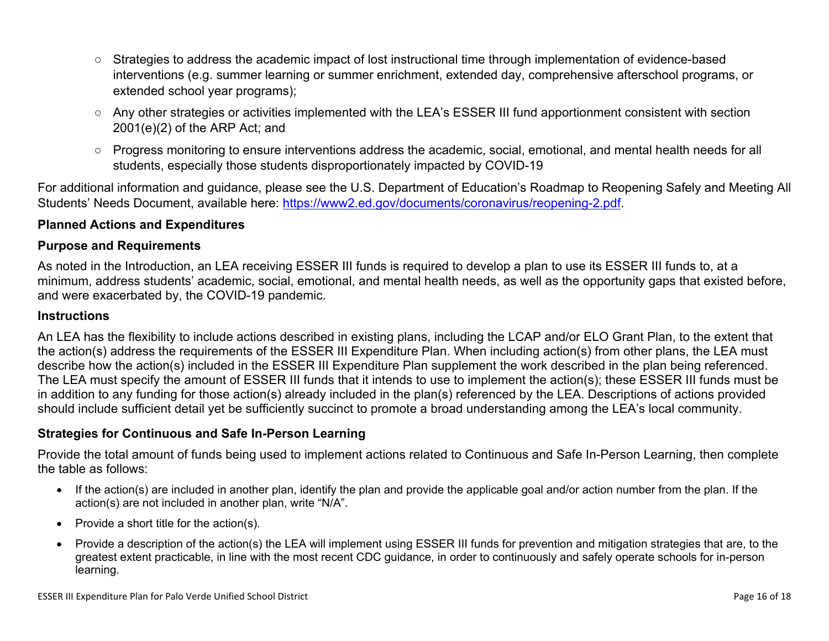- Strategies to address the academic impact of lost instructional time through implementation of evidence-based interventions (e.g. summer learning or summer enrichment, extended day, comprehensive afterschool programs, or extended school year programs);
- Any other strategies or activities implemented with the LEA's ESSER III fund apportionment consistent with section 2001(e)(2) of the ARP Act; and
- Progress monitoring to ensure interventions address the academic, social, emotional, and mental health needs for all students, especially those students disproportionately impacted by COVID-19

For additional information and guidance, please see the U.S. Department of Education's Roadmap to Reopening Safely and Meeting All Students' Needs Document, available here: [https://www2.ed.gov/documents/coronavirus/reopening-2.pdf.](https://www2.ed.gov/documents/coronavirus/reopening-2.pdf)

### <span id="page-15-0"></span>**Planned Actions and Expenditures**

#### **Purpose and Requirements**

As noted in the Introduction, an LEA receiving ESSER III funds is required to develop a plan to use its ESSER III funds to, at a minimum, address students' academic, social, emotional, and mental health needs, as well as the opportunity gaps that existed before, and were exacerbated by, the COVID-19 pandemic.

#### **Instructions**

An LEA has the flexibility to include actions described in existing plans, including the LCAP and/or ELO Grant Plan, to the extent that the action(s) address the requirements of the ESSER III Expenditure Plan. When including action(s) from other plans, the LEA must describe how the action(s) included in the ESSER III Expenditure Plan supplement the work described in the plan being referenced. The LEA must specify the amount of ESSER III funds that it intends to use to implement the action(s); these ESSER III funds must be in addition to any funding for those action(s) already included in the plan(s) referenced by the LEA. Descriptions of actions provided should include sufficient detail yet be sufficiently succinct to promote a broad understanding among the LEA's local community.

#### <span id="page-15-1"></span>**Strategies for Continuous and Safe In-Person Learning**

Provide the total amount of funds being used to implement actions related to Continuous and Safe In-Person Learning, then complete the table as follows:

- If the action(s) are included in another plan, identify the plan and provide the applicable goal and/or action number from the plan. If the action(s) are not included in another plan, write "N/A".
- Provide a short title for the  $action(s)$ .
- Provide a description of the action(s) the LEA will implement using ESSER III funds for prevention and mitigation strategies that are, to the greatest extent practicable, in line with the most recent CDC guidance, in order to continuously and safely operate schools for in-person learning.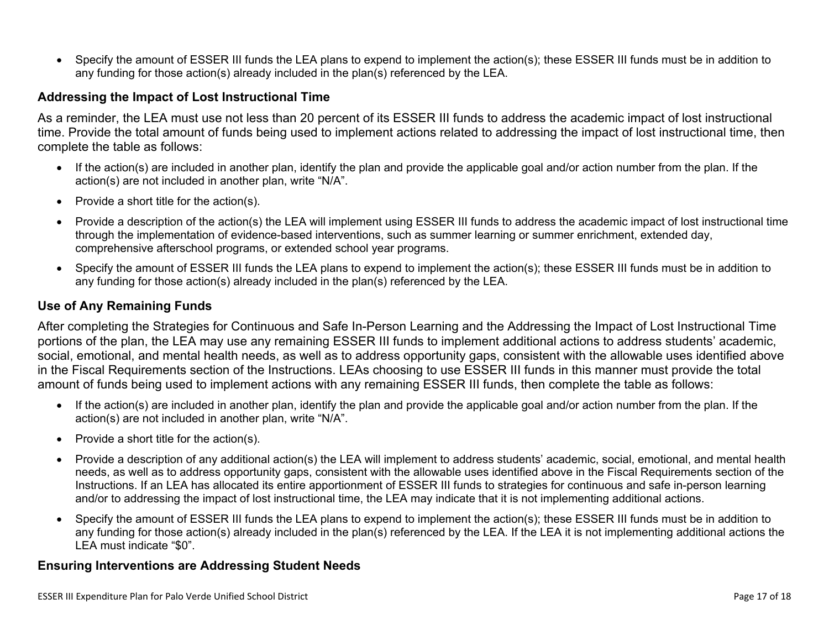Specify the amount of ESSER III funds the LEA plans to expend to implement the action(s); these ESSER III funds must be in addition to any funding for those action(s) already included in the plan(s) referenced by the LEA.

#### <span id="page-16-0"></span>**Addressing the Impact of Lost Instructional Time**

As a reminder, the LEA must use not less than 20 percent of its ESSER III funds to address the academic impact of lost instructional time. Provide the total amount of funds being used to implement actions related to addressing the impact of lost instructional time, then complete the table as follows:

- If the action(s) are included in another plan, identify the plan and provide the applicable goal and/or action number from the plan. If the action(s) are not included in another plan, write "N/A".
- Provide a short title for the  $action(s)$ .
- Provide a description of the action(s) the LEA will implement using ESSER III funds to address the academic impact of lost instructional time through the implementation of evidence-based interventions, such as summer learning or summer enrichment, extended day, comprehensive afterschool programs, or extended school year programs.
- Specify the amount of ESSER III funds the LEA plans to expend to implement the action(s); these ESSER III funds must be in addition to any funding for those action(s) already included in the plan(s) referenced by the LEA.

#### <span id="page-16-1"></span>**Use of Any Remaining Funds**

After completing the Strategies for Continuous and Safe In-Person Learning and the Addressing the Impact of Lost Instructional Time portions of the plan, the LEA may use any remaining ESSER III funds to implement additional actions to address students' academic, social, emotional, and mental health needs, as well as to address opportunity gaps, consistent with the allowable uses identified above in the Fiscal Requirements section of the Instructions. LEAs choosing to use ESSER III funds in this manner must provide the total amount of funds being used to implement actions with any remaining ESSER III funds, then complete the table as follows:

- If the action(s) are included in another plan, identify the plan and provide the applicable goal and/or action number from the plan. If the action(s) are not included in another plan, write "N/A".
- Provide a short title for the  $action(s)$ .
- Provide a description of any additional action(s) the LEA will implement to address students' academic, social, emotional, and mental health needs, as well as to address opportunity gaps, consistent with the allowable uses identified above in the Fiscal Requirements section of the Instructions. If an LEA has allocated its entire apportionment of ESSER III funds to strategies for continuous and safe in-person learning and/or to addressing the impact of lost instructional time, the LEA may indicate that it is not implementing additional actions.
- Specify the amount of ESSER III funds the LEA plans to expend to implement the action(s); these ESSER III funds must be in addition to any funding for those action(s) already included in the plan(s) referenced by the LEA. If the LEA it is not implementing additional actions the LEA must indicate "\$0".

#### <span id="page-16-2"></span>**Ensuring Interventions are Addressing Student Needs**